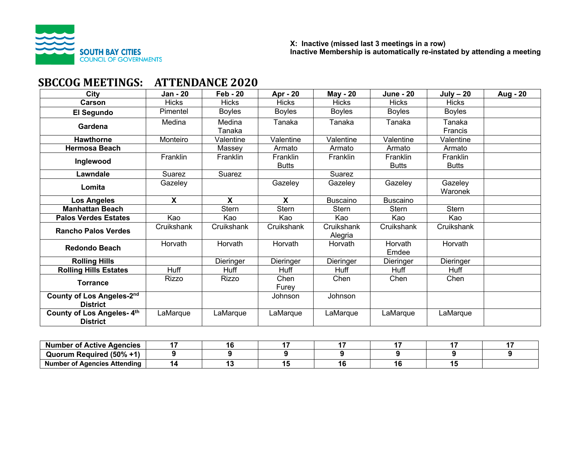

# **SBCCOG MEETINGS: ATTENDANCE 2020**

| City                                         | <b>Jan - 20</b> | <b>Feb - 20</b>  | <b>Apr - 20</b>          | <b>May - 20</b>       | <b>June - 20</b>         | $July - 20$                     | <b>Aug - 20</b> |
|----------------------------------------------|-----------------|------------------|--------------------------|-----------------------|--------------------------|---------------------------------|-----------------|
| <b>Carson</b>                                | <b>Hicks</b>    | <b>Hicks</b>     | <b>Hicks</b>             | <b>Hicks</b>          | <b>Hicks</b>             | <b>Hicks</b>                    |                 |
| El Segundo                                   | Pimentel        | <b>Boyles</b>    | <b>Boyles</b>            | <b>Boyles</b>         | <b>Boyles</b>            | <b>Boyles</b>                   |                 |
| Gardena                                      | Medina          | Medina<br>Tanaka | Tanaka                   | Tanaka                | Tanaka                   | Tanaka<br>Francis               |                 |
| <b>Hawthorne</b>                             | Monteiro        | Valentine        | Valentine                | Valentine             | Valentine                | Valentine                       |                 |
| <b>Hermosa Beach</b>                         |                 | Massey           | Armato                   | Armato                | Armato                   | Armato                          |                 |
| Inglewood                                    | Franklin        | <b>Franklin</b>  | Franklin<br><b>Butts</b> | Franklin              | Franklin<br><b>Butts</b> | <b>Franklin</b><br><b>Butts</b> |                 |
| Lawndale                                     | Suarez          | Suarez           |                          | Suarez                |                          |                                 |                 |
| Lomita                                       | Gazeley         |                  | Gazeley                  | Gazeley               | Gazeley                  | Gazeley<br>Waronek              |                 |
| <b>Los Angeles</b>                           | X               | X                | $\mathbf{x}$             | Buscaino              | <b>Buscaino</b>          |                                 |                 |
| <b>Manhattan Beach</b>                       |                 | <b>Stern</b>     | <b>Stern</b>             | <b>Stern</b>          | <b>Stern</b>             | <b>Stern</b>                    |                 |
| <b>Palos Verdes Estates</b>                  | Kao             | Kao              | Kao                      | Kao                   | Kao                      | Kao                             |                 |
| <b>Rancho Palos Verdes</b>                   | Cruikshank      | Cruikshank       | Cruikshank               | Cruikshank<br>Alegria | Cruikshank               | Cruikshank                      |                 |
| <b>Redondo Beach</b>                         | Horvath         | Horvath          | Horvath                  | Horvath               | Horvath<br>Emdee         | Horvath                         |                 |
| <b>Rolling Hills</b>                         |                 | Dieringer        | Dieringer                | Dieringer             | Dieringer                | Dieringer                       |                 |
| <b>Rolling Hills Estates</b>                 | <b>Huff</b>     | <b>Huff</b>      | <b>Huff</b>              | <b>Huff</b>           | Huff                     | Huff                            |                 |
| <b>Torrance</b>                              | <b>Rizzo</b>    | <b>Rizzo</b>     | Chen<br>Furev            | Chen                  | Chen                     | Chen                            |                 |
| County of Los Angeles-2nd<br><b>District</b> |                 |                  | Johnson                  | Johnson               |                          |                                 |                 |
| County of Los Angeles-4th<br><b>District</b> | LaMarque        | LaMarque         | LaMarque                 | LaMarque              | LaMarque                 | LaMarque                        |                 |

| `Active .<br>. Number <b>.</b><br>Agencies  | ıю |  |  |  |
|---------------------------------------------|----|--|--|--|
| Quorum Required (50% +                      |    |  |  |  |
| <b>Number</b><br>í Agencies Attending<br>от |    |  |  |  |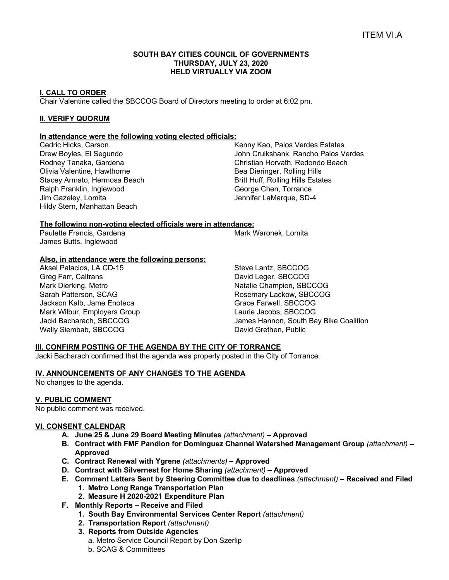#### **SOUTH BAY CITIES COUNCIL OF GOVERNMENTS THURSDAY, JULY 23, 2020 HELD VIRTUALLY VIA ZOOM**

# **I. CALL TO ORDER**

Chair Valentine called the SBCCOG Board of Directors meeting to order at 6:02 pm.

# **II. VERIFY QUORUM**

#### **In attendance were the following voting elected officials:**

Cedric Hicks, Carson Drew Boyles, El Segundo Rodney Tanaka, Gardena Olivia Valentine, Hawthorne Stacey Armato, Hermosa Beach Ralph Franklin, Inglewood Jim Gazeley, Lomita Hildy Stern, Manhattan Beach

Kenny Kao, Palos Verdes Estates John Cruikshank, Rancho Palos Verdes Christian Horvath, Redondo Beach Bea Dieringer, Rolling Hills Britt Huff, Rolling Hills Estates George Chen, Torrance Jennifer LaMarque, SD-4

## **The following non-voting elected officials were in attendance:**

Paulette Francis, Gardena James Butts, Inglewood

Mark Waronek, Lomita

# **Also, in attendance were the following persons:**

Aksel Palacios, LA CD-15 Greg Farr, Caltrans Mark Dierking, Metro Sarah Patterson, SCAG Jackson Kalb, Jame Enoteca Mark Wilbur, Employers Group Jacki Bacharach, SBCCOG Wally Siembab, SBCCOG

Steve Lantz, SBCCOG David Leger, SBCCOG Natalie Champion, SBCCOG Rosemary Lackow, SBCCOG Grace Farwell, SBCCOG Laurie Jacobs, SBCCOG James Hannon, South Bay Bike Coalition David Grethen, Public

# **III. CONFIRM POSTING OF THE AGENDA BY THE CITY OF TORRANCE**

Jacki Bacharach confirmed that the agenda was properly posted in the City of Torrance.

#### **IV. ANNOUNCEMENTS OF ANY CHANGES TO THE AGENDA**

No changes to the agenda.

#### **V. PUBLIC COMMENT**

No public comment was received.

#### **VI. CONSENT CALENDAR**

- **A. June 25 & June 29 Board Meeting Minutes** *(attachment) –* **Approved**
- **B. Contract with FMF Pandion for Dominguez Channel Watershed Management Group** *(attachment)* **– Approved**
- **C. Contract Renewal with Ygrene** *(attachments)* **– Approved**
- **D. Contract with Silvernest for Home Sharing** *(attachment)* **– Approved**
- **E. Comment Letters Sent by Steering Committee due to deadlines** *(attachment)* **– Received and Filed**
	- **1. Metro Long Range Transportation Plan**
	- **2. Measure H 2020-2021 Expenditure Plan**
- **F. Monthly Reports – Receive and Filed**
	- **1. South Bay Environmental Services Center Report** *(attachment)*
	- **2. Transportation Report** *(attachment)*
	- **3. Reports from Outside Agencies**  a. Metro Service Council Report by Don Szerlip
		- b. SCAG & Committees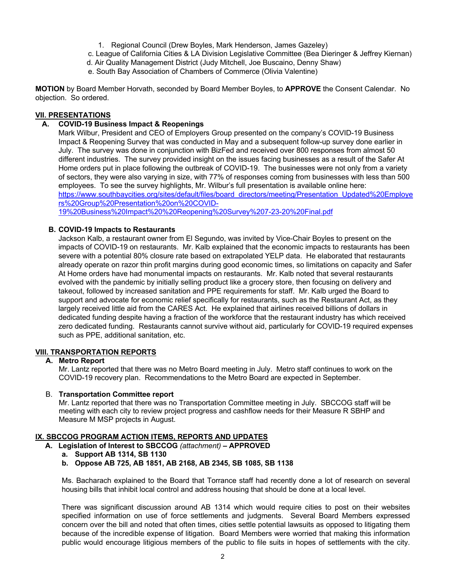- 1. Regional Council (Drew Boyles, Mark Henderson, James Gazeley)
- c. League of California Cities & LA Division Legislative Committee (Bea Dieringer & Jeffrey Kiernan)
- d. Air Quality Management District (Judy Mitchell, Joe Buscaino, Denny Shaw)
- e. South Bay Association of Chambers of Commerce (Olivia Valentine)

**MOTION** by Board Member Horvath, seconded by Board Member Boyles, to **APPROVE** the Consent Calendar. No objection. So ordered.

## **VII. PRESENTATIONS**

## **A. COVID-19 Business Impact & Reopenings**

Mark Wilbur, President and CEO of Employers Group presented on the company's COVID-19 Business Impact & Reopening Survey that was conducted in May and a subsequent follow-up survey done earlier in July. The survey was done in conjunction with BizFed and received over 800 responses from almost 50 different industries. The survey provided insight on the issues facing businesses as a result of the Safer At Home orders put in place following the outbreak of COVID-19. The businesses were not only from a variety of sectors, they were also varying in size, with 77% of responses coming from businesses with less than 500 employees. To see the survey highlights, Mr. Wilbur's full presentation is available online here: https://www.southbaycities.org/sites/default/files/board\_directors/meeting/Presentation\_Updated%20Employe rs%20Group%20Presentation%20on%20COVID-

19%20Business%20Impact%20%20Reopening%20Survey%207-23-20%20Final.pdf

## **B. COVID-19 Impacts to Restaurants**

Jackson Kalb, a restaurant owner from El Segundo, was invited by Vice-Chair Boyles to present on the impacts of COVID-19 on restaurants. Mr. Kalb explained that the economic impacts to restaurants has been severe with a potential 80% closure rate based on extrapolated YELP data. He elaborated that restaurants already operate on razor thin profit margins during good economic times, so limitations on capacity and Safer At Home orders have had monumental impacts on restaurants. Mr. Kalb noted that several restaurants evolved with the pandemic by initially selling product like a grocery store, then focusing on delivery and takeout, followed by increased sanitation and PPE requirements for staff. Mr. Kalb urged the Board to support and advocate for economic relief specifically for restaurants, such as the Restaurant Act, as they largely received little aid from the CARES Act. He explained that airlines received billions of dollars in dedicated funding despite having a fraction of the workforce that the restaurant industry has which received zero dedicated funding. Restaurants cannot survive without aid, particularly for COVID-19 required expenses such as PPE, additional sanitation, etc.

#### **VIII. TRANSPORTATION REPORTS**

#### **A. Metro Report**

Mr. Lantz reported that there was no Metro Board meeting in July. Metro staff continues to work on the COVID-19 recovery plan. Recommendations to the Metro Board are expected in September.

#### B. **Transportation Committee report**

Mr. Lantz reported that there was no Transportation Committee meeting in July. SBCCOG staff will be meeting with each city to review project progress and cashflow needs for their Measure R SBHP and Measure M MSP projects in August.

# **IX. SBCCOG PROGRAM ACTION ITEMS, REPORTS AND UPDATES**

**A. Legislation of Interest to SBCCOG** *(attachment)* **– APPROVED** 

#### **a. Support AB 1314, SB 1130**

**b. Oppose AB 725, AB 1851, AB 2168, AB 2345, SB 1085, SB 1138**

Ms. Bacharach explained to the Board that Torrance staff had recently done a lot of research on several housing bills that inhibit local control and address housing that should be done at a local level.

There was significant discussion around AB 1314 which would require cities to post on their websites specified information on use of force settlements and judgments. Several Board Members expressed concern over the bill and noted that often times, cities settle potential lawsuits as opposed to litigating them because of the incredible expense of litigation. Board Members were worried that making this information public would encourage litigious members of the public to file suits in hopes of settlements with the city.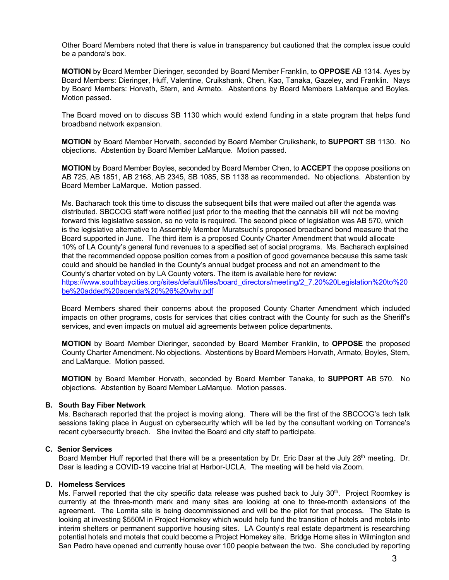Other Board Members noted that there is value in transparency but cautioned that the complex issue could be a pandora's box.

**MOTION** by Board Member Dieringer, seconded by Board Member Franklin, to **OPPOSE** AB 1314. Ayes by Board Members: Dieringer, Huff, Valentine, Cruikshank, Chen, Kao, Tanaka, Gazeley, and Franklin. Nays by Board Members: Horvath, Stern, and Armato. Abstentions by Board Members LaMarque and Boyles. Motion passed.

The Board moved on to discuss SB 1130 which would extend funding in a state program that helps fund broadband network expansion.

**MOTION** by Board Member Horvath, seconded by Board Member Cruikshank, to **SUPPORT** SB 1130. No objections. Abstention by Board Member LaMarque. Motion passed.

**MOTION** by Board Member Boyles, seconded by Board Member Chen, to **ACCEPT** the oppose positions on AB 725, AB 1851, AB 2168, AB 2345, SB 1085, SB 1138 as recommended**.** No objections. Abstention by Board Member LaMarque. Motion passed.

Ms. Bacharach took this time to discuss the subsequent bills that were mailed out after the agenda was distributed. SBCCOG staff were notified just prior to the meeting that the cannabis bill will not be moving forward this legislative session, so no vote is required. The second piece of legislation was AB 570, which is the legislative alternative to Assembly Member Muratsuchi's proposed broadband bond measure that the Board supported in June. The third item is a proposed County Charter Amendment that would allocate 10% of LA County's general fund revenues to a specified set of social programs. Ms. Bacharach explained that the recommended oppose position comes from a position of good governance because this same task could and should be handled in the County's annual budget process and not an amendment to the County's charter voted on by LA County voters. The item is available here for review: https://www.southbaycities.org/sites/default/files/board\_directors/meeting/2\_7.20%20Legislation%20to%20 be%20added%20agenda%20%26%20why.pdf

Board Members shared their concerns about the proposed County Charter Amendment which included impacts on other programs, costs for services that cities contract with the County for such as the Sheriff's services, and even impacts on mutual aid agreements between police departments.

**MOTION** by Board Member Dieringer, seconded by Board Member Franklin, to **OPPOSE** the proposed County Charter Amendment. No objections. Abstentions by Board Members Horvath, Armato, Boyles, Stern, and LaMarque. Motion passed.

**MOTION** by Board Member Horvath, seconded by Board Member Tanaka, to **SUPPORT** AB 570. No objections. Abstention by Board Member LaMarque. Motion passes.

#### **B. South Bay Fiber Network**

Ms. Bacharach reported that the project is moving along. There will be the first of the SBCCOG's tech talk sessions taking place in August on cybersecurity which will be led by the consultant working on Torrance's recent cybersecurity breach. She invited the Board and city staff to participate.

#### **C. Senior Services**

Board Member Huff reported that there will be a presentation by Dr. Eric Daar at the July 28<sup>th</sup> meeting. Dr. Daar is leading a COVID-19 vaccine trial at Harbor-UCLA. The meeting will be held via Zoom.

## **D. Homeless Services**

Ms. Farwell reported that the city specific data release was pushed back to July 30<sup>th</sup>. Project Roomkey is currently at the three-month mark and many sites are looking at one to three-month extensions of the agreement. The Lomita site is being decommissioned and will be the pilot for that process. The State is looking at investing \$550M in Project Homekey which would help fund the transition of hotels and motels into interim shelters or permanent supportive housing sites. LA County's real estate department is researching potential hotels and motels that could become a Project Homekey site. Bridge Home sites in Wilmington and San Pedro have opened and currently house over 100 people between the two. She concluded by reporting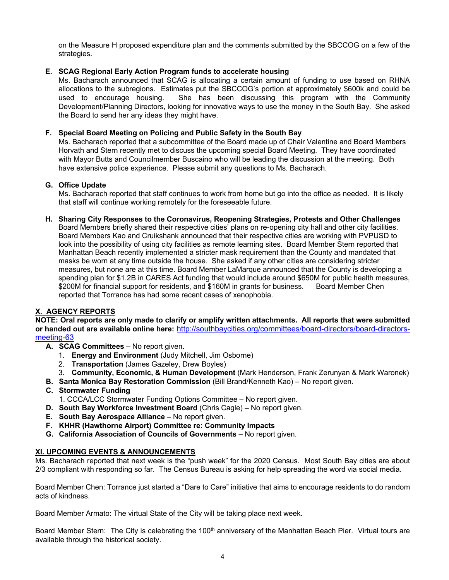on the Measure H proposed expenditure plan and the comments submitted by the SBCCOG on a few of the strategies.

# **E. SCAG Regional Early Action Program funds to accelerate housing**

Ms. Bacharach announced that SCAG is allocating a certain amount of funding to use based on RHNA allocations to the subregions. Estimates put the SBCCOG's portion at approximately \$600k and could be used to encourage housing. She has been discussing this program with the Community Development/Planning Directors, looking for innovative ways to use the money in the South Bay. She asked the Board to send her any ideas they might have.

#### **F. Special Board Meeting on Policing and Public Safety in the South Bay**

Ms. Bacharach reported that a subcommittee of the Board made up of Chair Valentine and Board Members Horvath and Stern recently met to discuss the upcoming special Board Meeting. They have coordinated with Mayor Butts and Councilmember Buscaino who will be leading the discussion at the meeting. Both have extensive police experience. Please submit any questions to Ms. Bacharach.

#### **G. Office Update**

Ms. Bacharach reported that staff continues to work from home but go into the office as needed. It is likely that staff will continue working remotely for the foreseeable future.

**H. Sharing City Responses to the Coronavirus, Reopening Strategies, Protests and Other Challenges** Board Members briefly shared their respective cities' plans on re-opening city hall and other city facilities. Board Members Kao and Cruikshank announced that their respective cities are working with PVPUSD to look into the possibility of using city facilities as remote learning sites. Board Member Stern reported that Manhattan Beach recently implemented a stricter mask requirement than the County and mandated that masks be worn at any time outside the house. She asked if any other cities are considering stricter measures, but none are at this time. Board Member LaMarque announced that the County is developing a spending plan for \$1.2B in CARES Act funding that would include around \$650M for public health measures, \$200M for financial support for residents, and \$160M in grants for business. Board Member Chen reported that Torrance has had some recent cases of xenophobia.

## **X. AGENCY REPORTS**

**NOTE: Oral reports are only made to clarify or amplify written attachments. All reports that were submitted or handed out are available online here:** http://southbaycities.org/committees/board-directors/board-directorsmeeting-63

- **A. SCAG Committees** No report given.
	- 1. **Energy and Environment** (Judy Mitchell, Jim Osborne)
	- 2. **Transportation** (James Gazeley, Drew Boyles)
- 3. **Community, Economic, & Human Development** (Mark Henderson, Frank Zerunyan & Mark Waronek)
- **B. Santa Monica Bay Restoration Commission** (Bill Brand/Kenneth Kao) No report given.
- **C. Stormwater Funding** 
	- 1. CCCA/LCC Stormwater Funding Options Committee No report given.
- **D. South Bay Workforce Investment Board** (Chris Cagle) No report given.
- **E. South Bay Aerospace Alliance** No report given.
- **F. KHHR (Hawthorne Airport) Committee re: Community Impacts**
- **G. California Association of Councils of Governments** No report given.

#### **XI. UPCOMING EVENTS & ANNOUNCEMENTS**

Ms. Bacharach reported that next week is the "push week" for the 2020 Census. Most South Bay cities are about 2/3 compliant with responding so far. The Census Bureau is asking for help spreading the word via social media.

Board Member Chen: Torrance just started a "Dare to Care" initiative that aims to encourage residents to do random acts of kindness.

Board Member Armato: The virtual State of the City will be taking place next week.

Board Member Stern: The City is celebrating the 100<sup>th</sup> anniversary of the Manhattan Beach Pier. Virtual tours are available through the historical society.